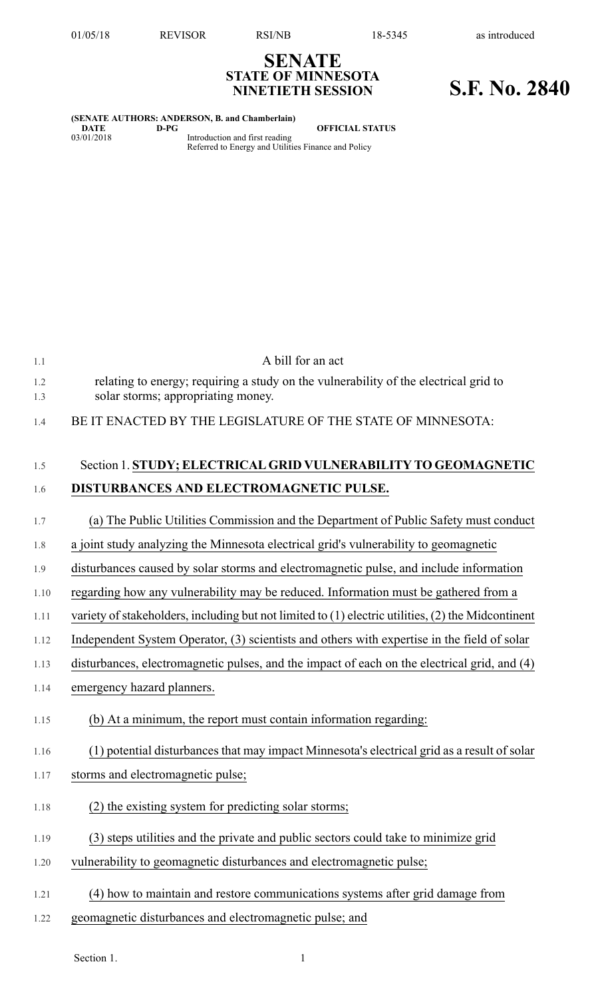## **SENATE STATE OF MINNESOTA NINETIETH SESSION S.F. No. 2840**

|            |      | (SENATE AUTHORS: ANDERSON, B. and Chamberlain)                                        |
|------------|------|---------------------------------------------------------------------------------------|
| DATE       | D-PG | <b>OFFICIAL STATUS</b>                                                                |
| 03/01/2018 |      | Introduction and first reading<br>Referred to Energy and Utilities Finance and Policy |

| 1.1        | A bill for an act                                                                                                          |
|------------|----------------------------------------------------------------------------------------------------------------------------|
| 1.2<br>1.3 | relating to energy; requiring a study on the vulnerability of the electrical grid to<br>solar storms; appropriating money. |
| 1.4        | BE IT ENACTED BY THE LEGISLATURE OF THE STATE OF MINNESOTA:                                                                |
| 1.5        | Section 1. STUDY; ELECTRICAL GRID VULNERABILITY TO GEOMAGNETIC                                                             |
| 1.6        | DISTURBANCES AND ELECTROMAGNETIC PULSE.                                                                                    |
| 1.7        | (a) The Public Utilities Commission and the Department of Public Safety must conduct                                       |
| 1.8        | a joint study analyzing the Minnesota electrical grid's vulnerability to geomagnetic                                       |
| 1.9        | disturbances caused by solar storms and electromagnetic pulse, and include information                                     |
| 1.10       | regarding how any vulnerability may be reduced. Information must be gathered from a                                        |
| 1.11       | variety of stakeholders, including but not limited to $(1)$ electric utilities, $(2)$ the Midcontinent                     |
| 1.12       | Independent System Operator, (3) scientists and others with expertise in the field of solar                                |
| 1.13       | disturbances, electromagnetic pulses, and the impact of each on the electrical grid, and (4)                               |
| 1.14       | emergency hazard planners.                                                                                                 |
| 1.15       | (b) At a minimum, the report must contain information regarding:                                                           |
| 1.16       | (1) potential disturbances that may impact Minnesota's electrical grid as a result of solar                                |
| 1.17       | storms and electromagnetic pulse;                                                                                          |
| 1.18       | (2) the existing system for predicting solar storms;                                                                       |
| 1.19       | (3) steps utilities and the private and public sectors could take to minimize grid                                         |
| 1.20       | vulnerability to geomagnetic disturbances and electromagnetic pulse;                                                       |
| 1.21       | (4) how to maintain and restore communications systems after grid damage from                                              |
| 1.22       | geomagnetic disturbances and electromagnetic pulse; and                                                                    |

Section 1. 1